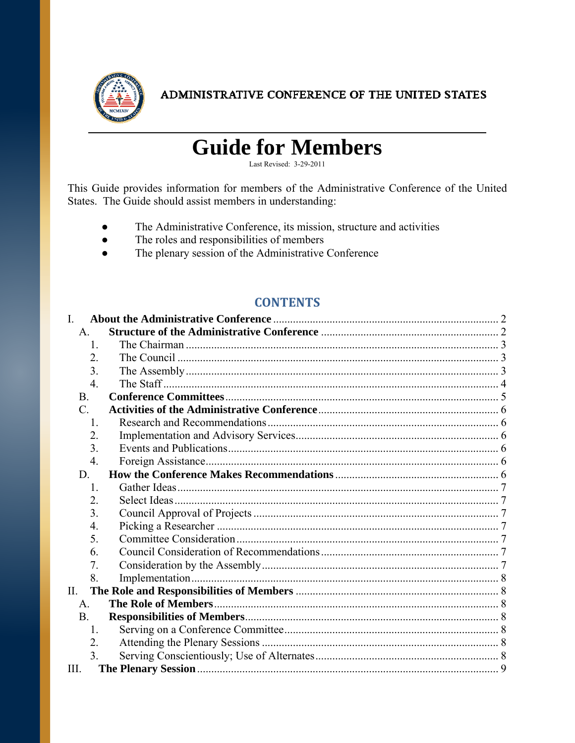

ADMINISTRATIVE CONFERENCE OF THE UNITED STATES

# **Guide for Members**

Last Revised: 3-29-2011

This Guide provides information for members of the Administrative Conference of the United States. The Guide should assist members in understanding:

- $\bullet$ The Administrative Conference, its mission, structure and activities
- The roles and responsibilities of members  $\bullet$
- The plenary session of the Administrative Conference  $\bullet$

# **CONTENTS**

| I.              |  |  |
|-----------------|--|--|
| A.              |  |  |
| $\mathbf{1}$ .  |  |  |
| 2               |  |  |
| 3.              |  |  |
| 4.              |  |  |
| <b>B</b> .      |  |  |
| $\mathcal{C}$ . |  |  |
| 1.              |  |  |
| 2.              |  |  |
| 3.              |  |  |
| 4.              |  |  |
| D.              |  |  |
| $\mathbf{1}$ .  |  |  |
| 2.              |  |  |
| 3.              |  |  |
| 4.              |  |  |
| 5.              |  |  |
| 6.              |  |  |
| 7.              |  |  |
| 8.              |  |  |
| II.             |  |  |
| A <sub>1</sub>  |  |  |
| <b>B</b> .      |  |  |
| $\mathbf{1}$ .  |  |  |
| 2.              |  |  |
| 3.              |  |  |
| III.            |  |  |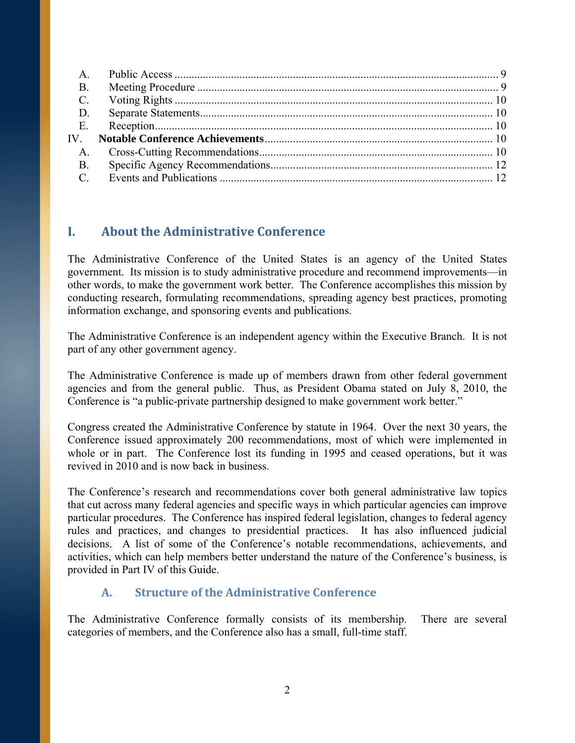# **I. About the Administrative Conference**

The Administrative Conference of the United States is an agency of the United States government. Its mission is to study administrative procedure and recommend improvements—in other words, to make the government work better. The Conference accomplishes this mission by conducting research, formulating recommendations, spreading agency best practices, promoting information exchange, and sponsoring events and publications.

The Administrative Conference is an independent agency within the Executive Branch. It is not part of any other government agency.

The Administrative Conference is made up of members drawn from other federal government agencies and from the general public. Thus, as President Obama stated on July 8, 2010, the Conference is "a public-private partnership designed to make government work better."

Congress created the Administrative Conference by statute in 1964. Over the next 30 years, the Conference issued approximately 200 recommendations, most of which were implemented in whole or in part. The Conference lost its funding in 1995 and ceased operations, but it was revived in 2010 and is now back in business.

The Conference's research and recommendations cover both general administrative law topics that cut across many federal agencies and specific ways in which particular agencies can improve particular procedures. The Conference has inspired federal legislation, changes to federal agency rules and practices, and changes to presidential practices. It has also influenced judicial decisions. A list of some of the Conference's notable recommendations, achievements, and activities, which can help members better understand the nature of the Conference's business, is provided in Part IV of this Guide.

# **A. Structure of the Administrative Conference**

The Administrative Conference formally consists of its membership. There are several categories of members, and the Conference also has a small, full-time staff.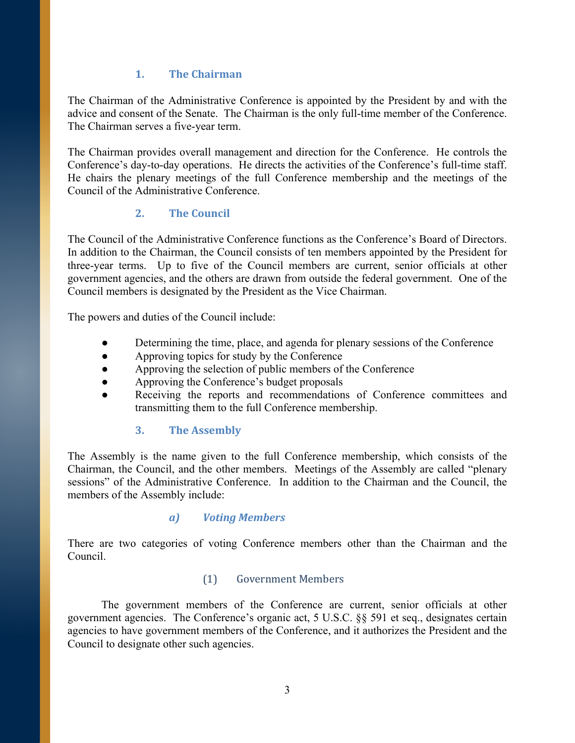#### **1. The Chairman**

The Chairman of the Administrative Conference is appointed by the President by and with the advice and consent of the Senate. The Chairman is the only full-time member of the Conference. The Chairman serves a five-year term.

The Chairman provides overall management and direction for the Conference. He controls the Conference's day-to-day operations. He directs the activities of the Conference's full-time staff. He chairs the plenary meetings of the full Conference membership and the meetings of the Council of the Administrative Conference.

#### **2. The Council**

The Council of the Administrative Conference functions as the Conference's Board of Directors. In addition to the Chairman, the Council consists of ten members appointed by the President for three-year terms. Up to five of the Council members are current, senior officials at other government agencies, and the others are drawn from outside the federal government. One of the Council members is designated by the President as the Vice Chairman.

The powers and duties of the Council include:

- Determining the time, place, and agenda for plenary sessions of the Conference
- Approving topics for study by the Conference
- Approving the selection of public members of the Conference
- Approving the Conference's budget proposals
- Receiving the reports and recommendations of Conference committees and transmitting them to the full Conference membership.

#### **3. The Assembly**

The Assembly is the name given to the full Conference membership, which consists of the Chairman, the Council, and the other members. Meetings of the Assembly are called "plenary sessions" of the Administrative Conference. In addition to the Chairman and the Council, the members of the Assembly include:

#### *a) Voting Members*

There are two categories of voting Conference members other than the Chairman and the Council.

#### (1) Government Members

 The government members of the Conference are current, senior officials at other government agencies. The Conference's organic act, 5 U.S.C. §§ 591 et seq., designates certain agencies to have government members of the Conference, and it authorizes the President and the Council to designate other such agencies.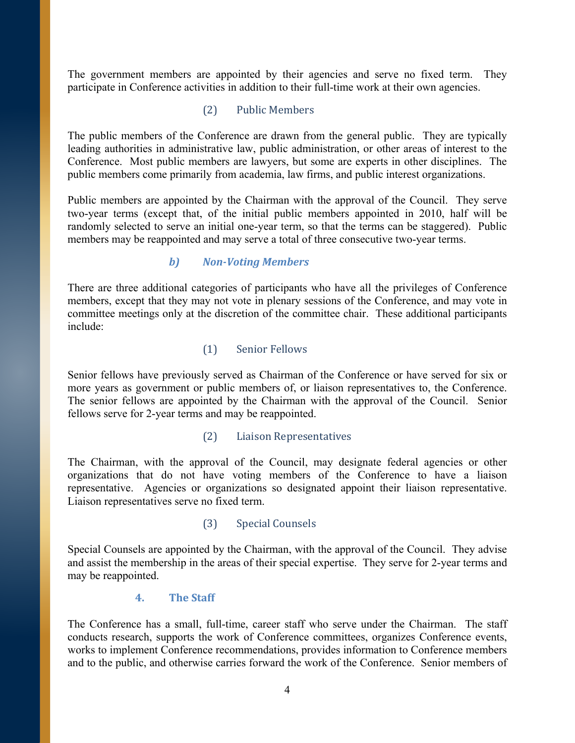The government members are appointed by their agencies and serve no fixed term. They participate in Conference activities in addition to their full-time work at their own agencies.

#### (2) Public Members

The public members of the Conference are drawn from the general public. They are typically leading authorities in administrative law, public administration, or other areas of interest to the Conference. Most public members are lawyers, but some are experts in other disciplines. The public members come primarily from academia, law firms, and public interest organizations.

Public members are appointed by the Chairman with the approval of the Council. They serve two-year terms (except that, of the initial public members appointed in 2010, half will be randomly selected to serve an initial one-year term, so that the terms can be staggered). Public members may be reappointed and may serve a total of three consecutive two-year terms.

#### *b) NonVoting Members*

There are three additional categories of participants who have all the privileges of Conference members, except that they may not vote in plenary sessions of the Conference, and may vote in committee meetings only at the discretion of the committee chair. These additional participants include:

#### (1) Senior Fellows

Senior fellows have previously served as Chairman of the Conference or have served for six or more years as government or public members of, or liaison representatives to, the Conference. The senior fellows are appointed by the Chairman with the approval of the Council. Senior fellows serve for 2-year terms and may be reappointed.

#### (2) Liaison Representatives

The Chairman, with the approval of the Council, may designate federal agencies or other organizations that do not have voting members of the Conference to have a liaison representative. Agencies or organizations so designated appoint their liaison representative. Liaison representatives serve no fixed term.

#### (3) Special Counsels

Special Counsels are appointed by the Chairman, with the approval of the Council. They advise and assist the membership in the areas of their special expertise. They serve for 2-year terms and may be reappointed.

#### **4. The Staff**

The Conference has a small, full-time, career staff who serve under the Chairman. The staff conducts research, supports the work of Conference committees, organizes Conference events, works to implement Conference recommendations, provides information to Conference members and to the public, and otherwise carries forward the work of the Conference. Senior members of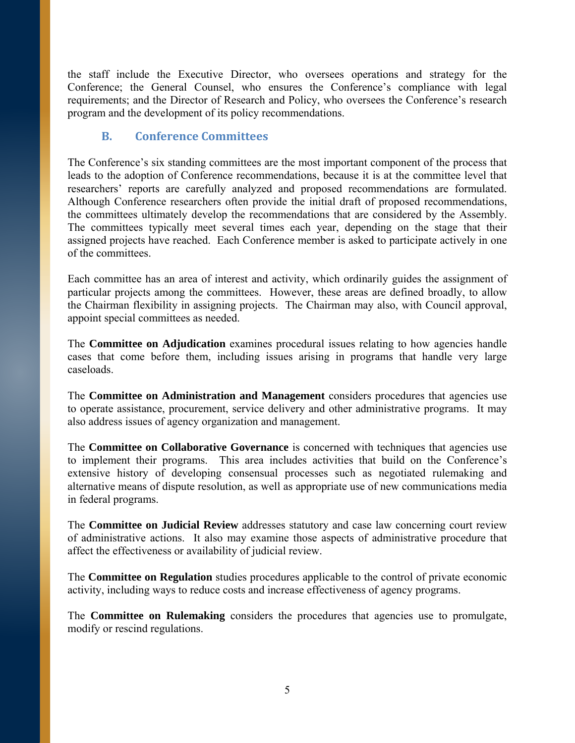the staff include the Executive Director, who oversees operations and strategy for the Conference; the General Counsel, who ensures the Conference's compliance with legal requirements; and the Director of Research and Policy, who oversees the Conference's research program and the development of its policy recommendations.

# **B. Conference Committees**

The Conference's six standing committees are the most important component of the process that leads to the adoption of Conference recommendations, because it is at the committee level that researchers' reports are carefully analyzed and proposed recommendations are formulated. Although Conference researchers often provide the initial draft of proposed recommendations, the committees ultimately develop the recommendations that are considered by the Assembly. The committees typically meet several times each year, depending on the stage that their assigned projects have reached. Each Conference member is asked to participate actively in one of the committees.

Each committee has an area of interest and activity, which ordinarily guides the assignment of particular projects among the committees. However, these areas are defined broadly, to allow the Chairman flexibility in assigning projects. The Chairman may also, with Council approval, appoint special committees as needed.

The **Committee on Adjudication** examines procedural issues relating to how agencies handle cases that come before them, including issues arising in programs that handle very large caseloads.

The **Committee on Administration and Management** considers procedures that agencies use to operate assistance, procurement, service delivery and other administrative programs. It may also address issues of agency organization and management.

The **Committee on Collaborative Governance** is concerned with techniques that agencies use to implement their programs. This area includes activities that build on the Conference's extensive history of developing consensual processes such as negotiated rulemaking and alternative means of dispute resolution, as well as appropriate use of new communications media in federal programs.

The **Committee on Judicial Review** addresses statutory and case law concerning court review of administrative actions. It also may examine those aspects of administrative procedure that affect the effectiveness or availability of judicial review.

The **Committee on Regulation** studies procedures applicable to the control of private economic activity, including ways to reduce costs and increase effectiveness of agency programs.

The **Committee on Rulemaking** considers the procedures that agencies use to promulgate, modify or rescind regulations.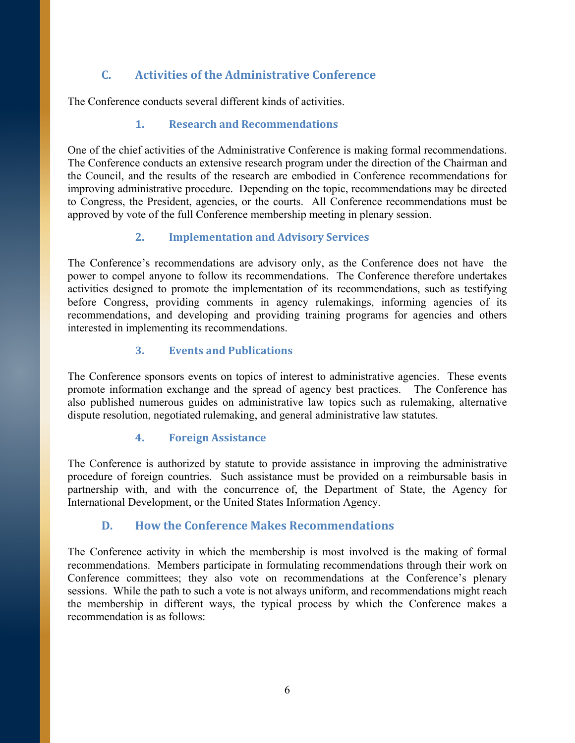# **C. Activities of the Administrative Conference**

The Conference conducts several different kinds of activities.

# **1. Research and Recommendations**

One of the chief activities of the Administrative Conference is making formal recommendations. The Conference conducts an extensive research program under the direction of the Chairman and the Council, and the results of the research are embodied in Conference recommendations for improving administrative procedure. Depending on the topic, recommendations may be directed to Congress, the President, agencies, or the courts. All Conference recommendations must be approved by vote of the full Conference membership meeting in plenary session.

# **2. Implementation and Advisory Services**

The Conference's recommendations are advisory only, as the Conference does not have the power to compel anyone to follow its recommendations. The Conference therefore undertakes activities designed to promote the implementation of its recommendations, such as testifying before Congress, providing comments in agency rulemakings, informing agencies of its recommendations, and developing and providing training programs for agencies and others interested in implementing its recommendations.

# **3. Events and Publications**

The Conference sponsors events on topics of interest to administrative agencies. These events promote information exchange and the spread of agency best practices. The Conference has also published numerous guides on administrative law topics such as rulemaking, alternative dispute resolution, negotiated rulemaking, and general administrative law statutes.

# **4. Foreign Assistance**

The Conference is authorized by statute to provide assistance in improving the administrative procedure of foreign countries. Such assistance must be provided on a reimbursable basis in partnership with, and with the concurrence of, the Department of State, the Agency for International Development, or the United States Information Agency.

# **D. How the Conference Makes Recommendations**

The Conference activity in which the membership is most involved is the making of formal recommendations. Members participate in formulating recommendations through their work on Conference committees; they also vote on recommendations at the Conference's plenary sessions. While the path to such a vote is not always uniform, and recommendations might reach the membership in different ways, the typical process by which the Conference makes a recommendation is as follows: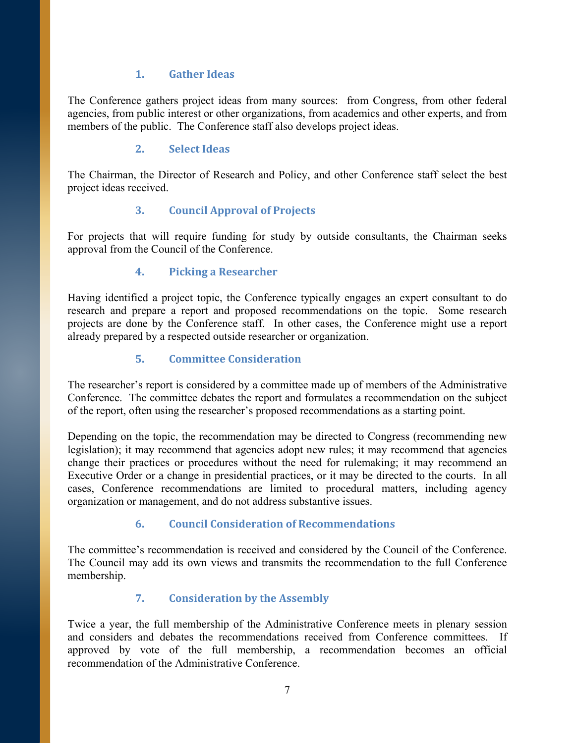#### **1. Gather Ideas**

The Conference gathers project ideas from many sources: from Congress, from other federal agencies, from public interest or other organizations, from academics and other experts, and from members of the public. The Conference staff also develops project ideas.

#### **2. Select Ideas**

The Chairman, the Director of Research and Policy, and other Conference staff select the best project ideas received.

#### **3. Council Approval of Projects**

For projects that will require funding for study by outside consultants, the Chairman seeks approval from the Council of the Conference.

#### **4. Picking a Researcher**

Having identified a project topic, the Conference typically engages an expert consultant to do research and prepare a report and proposed recommendations on the topic. Some research projects are done by the Conference staff. In other cases, the Conference might use a report already prepared by a respected outside researcher or organization.

#### **5. Committee Consideration**

The researcher's report is considered by a committee made up of members of the Administrative Conference. The committee debates the report and formulates a recommendation on the subject of the report, often using the researcher's proposed recommendations as a starting point.

Depending on the topic, the recommendation may be directed to Congress (recommending new legislation); it may recommend that agencies adopt new rules; it may recommend that agencies change their practices or procedures without the need for rulemaking; it may recommend an Executive Order or a change in presidential practices, or it may be directed to the courts. In all cases, Conference recommendations are limited to procedural matters, including agency organization or management, and do not address substantive issues.

# **6. Council Consideration of Recommendations**

The committee's recommendation is received and considered by the Council of the Conference. The Council may add its own views and transmits the recommendation to the full Conference membership.

# **7. Consideration by the Assembly**

Twice a year, the full membership of the Administrative Conference meets in plenary session and considers and debates the recommendations received from Conference committees. If approved by vote of the full membership, a recommendation becomes an official recommendation of the Administrative Conference.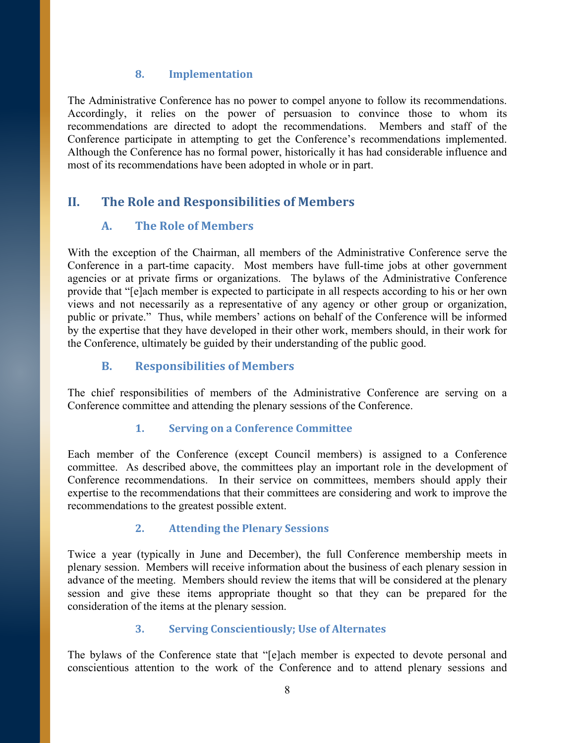#### **8. Implementation**

The Administrative Conference has no power to compel anyone to follow its recommendations. Accordingly, it relies on the power of persuasion to convince those to whom its recommendations are directed to adopt the recommendations. Members and staff of the Conference participate in attempting to get the Conference's recommendations implemented. Although the Conference has no formal power, historically it has had considerable influence and most of its recommendations have been adopted in whole or in part.

# **II. The Role and Responsibilities of Members**

# **A. The Role of Members**

With the exception of the Chairman, all members of the Administrative Conference serve the Conference in a part-time capacity. Most members have full-time jobs at other government agencies or at private firms or organizations. The bylaws of the Administrative Conference provide that "[e]ach member is expected to participate in all respects according to his or her own views and not necessarily as a representative of any agency or other group or organization, public or private." Thus, while members' actions on behalf of the Conference will be informed by the expertise that they have developed in their other work, members should, in their work for the Conference, ultimately be guided by their understanding of the public good.

# **B. Responsibilities of Members**

The chief responsibilities of members of the Administrative Conference are serving on a Conference committee and attending the plenary sessions of the Conference.

# **1. Serving on a Conference Committee**

Each member of the Conference (except Council members) is assigned to a Conference committee. As described above, the committees play an important role in the development of Conference recommendations. In their service on committees, members should apply their expertise to the recommendations that their committees are considering and work to improve the recommendations to the greatest possible extent.

# **2. Attending the Plenary Sessions**

Twice a year (typically in June and December), the full Conference membership meets in plenary session. Members will receive information about the business of each plenary session in advance of the meeting. Members should review the items that will be considered at the plenary session and give these items appropriate thought so that they can be prepared for the consideration of the items at the plenary session.

# **3. Serving Conscientiously; Use of Alternates**

The bylaws of the Conference state that "[e]ach member is expected to devote personal and conscientious attention to the work of the Conference and to attend plenary sessions and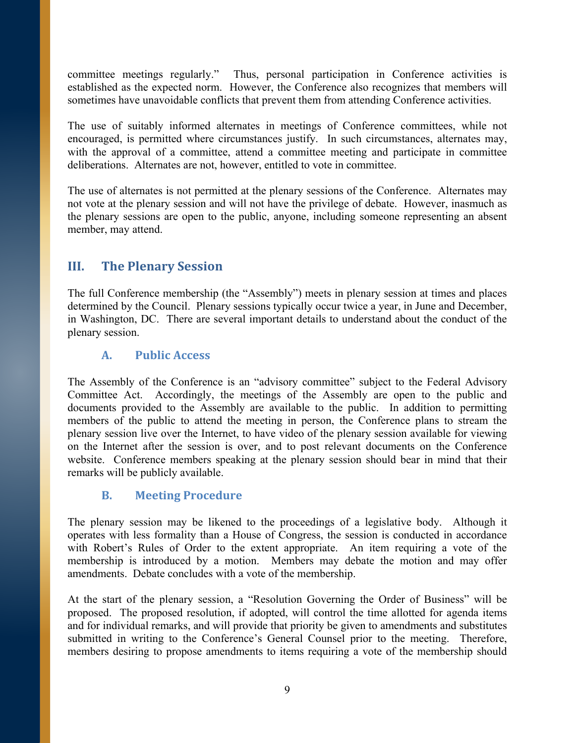committee meetings regularly." Thus, personal participation in Conference activities is established as the expected norm. However, the Conference also recognizes that members will sometimes have unavoidable conflicts that prevent them from attending Conference activities.

The use of suitably informed alternates in meetings of Conference committees, while not encouraged, is permitted where circumstances justify. In such circumstances, alternates may, with the approval of a committee, attend a committee meeting and participate in committee deliberations. Alternates are not, however, entitled to vote in committee.

The use of alternates is not permitted at the plenary sessions of the Conference. Alternates may not vote at the plenary session and will not have the privilege of debate. However, inasmuch as the plenary sessions are open to the public, anyone, including someone representing an absent member, may attend.

# **III. The Plenary Session**

The full Conference membership (the "Assembly") meets in plenary session at times and places determined by the Council. Plenary sessions typically occur twice a year, in June and December, in Washington, DC. There are several important details to understand about the conduct of the plenary session.

# **A. Public Access**

The Assembly of the Conference is an "advisory committee" subject to the Federal Advisory Committee Act. Accordingly, the meetings of the Assembly are open to the public and documents provided to the Assembly are available to the public. In addition to permitting members of the public to attend the meeting in person, the Conference plans to stream the plenary session live over the Internet, to have video of the plenary session available for viewing on the Internet after the session is over, and to post relevant documents on the Conference website. Conference members speaking at the plenary session should bear in mind that their remarks will be publicly available.

# **B. Meeting Procedure**

The plenary session may be likened to the proceedings of a legislative body. Although it operates with less formality than a House of Congress, the session is conducted in accordance with Robert's Rules of Order to the extent appropriate. An item requiring a vote of the membership is introduced by a motion. Members may debate the motion and may offer amendments. Debate concludes with a vote of the membership.

At the start of the plenary session, a "Resolution Governing the Order of Business" will be proposed. The proposed resolution, if adopted, will control the time allotted for agenda items and for individual remarks, and will provide that priority be given to amendments and substitutes submitted in writing to the Conference's General Counsel prior to the meeting. Therefore, members desiring to propose amendments to items requiring a vote of the membership should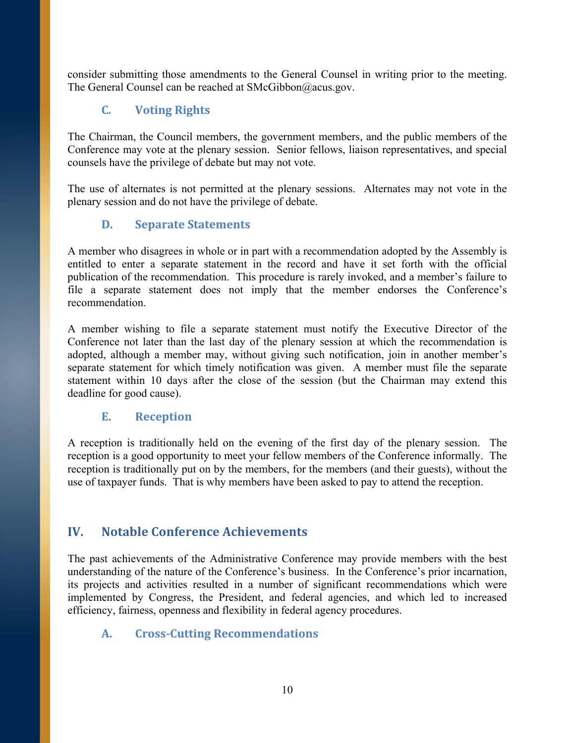consider submitting those amendments to the General Counsel in writing prior to the meeting. The General Counsel can be reached at SMcGibbon@acus.gov.

# **C. Voting Rights**

The Chairman, the Council members, the government members, and the public members of the Conference may vote at the plenary session. Senior fellows, liaison representatives, and special counsels have the privilege of debate but may not vote.

The use of alternates is not permitted at the plenary sessions. Alternates may not vote in the plenary session and do not have the privilege of debate.

# **D. Separate Statements**

A member who disagrees in whole or in part with a recommendation adopted by the Assembly is entitled to enter a separate statement in the record and have it set forth with the official publication of the recommendation. This procedure is rarely invoked, and a member's failure to file a separate statement does not imply that the member endorses the Conference's recommendation.

A member wishing to file a separate statement must notify the Executive Director of the Conference not later than the last day of the plenary session at which the recommendation is adopted, although a member may, without giving such notification, join in another member's separate statement for which timely notification was given. A member must file the separate statement within 10 days after the close of the session (but the Chairman may extend this deadline for good cause).

# **E. Reception**

A reception is traditionally held on the evening of the first day of the plenary session. The reception is a good opportunity to meet your fellow members of the Conference informally. The reception is traditionally put on by the members, for the members (and their guests), without the use of taxpayer funds. That is why members have been asked to pay to attend the reception.

# **IV. Notable Conference Achievements**

The past achievements of the Administrative Conference may provide members with the best understanding of the nature of the Conference's business. In the Conference's prior incarnation, its projects and activities resulted in a number of significant recommendations which were implemented by Congress, the President, and federal agencies, and which led to increased efficiency, fairness, openness and flexibility in federal agency procedures.

# **A. CrossCutting Recommendations**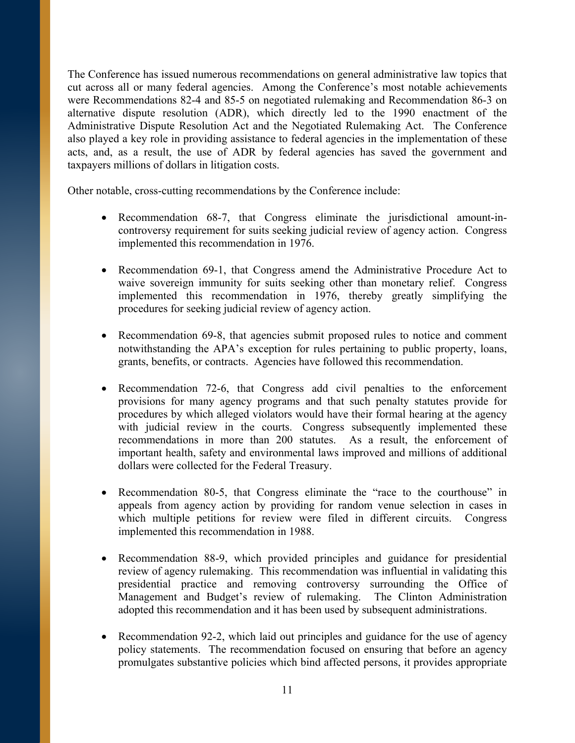The Conference has issued numerous recommendations on general administrative law topics that cut across all or many federal agencies. Among the Conference's most notable achievements were Recommendations 82-4 and 85-5 on negotiated rulemaking and Recommendation 86-3 on alternative dispute resolution (ADR), which directly led to the 1990 enactment of the Administrative Dispute Resolution Act and the Negotiated Rulemaking Act. The Conference also played a key role in providing assistance to federal agencies in the implementation of these acts, and, as a result, the use of ADR by federal agencies has saved the government and taxpayers millions of dollars in litigation costs.

Other notable, cross-cutting recommendations by the Conference include:

- Recommendation 68-7, that Congress eliminate the jurisdictional amount-incontroversy requirement for suits seeking judicial review of agency action. Congress implemented this recommendation in 1976.
- Recommendation 69-1, that Congress amend the Administrative Procedure Act to waive sovereign immunity for suits seeking other than monetary relief. Congress implemented this recommendation in 1976, thereby greatly simplifying the procedures for seeking judicial review of agency action.
- Recommendation 69-8, that agencies submit proposed rules to notice and comment notwithstanding the APA's exception for rules pertaining to public property, loans, grants, benefits, or contracts. Agencies have followed this recommendation.
- Recommendation 72-6, that Congress add civil penalties to the enforcement provisions for many agency programs and that such penalty statutes provide for procedures by which alleged violators would have their formal hearing at the agency with judicial review in the courts. Congress subsequently implemented these recommendations in more than 200 statutes. As a result, the enforcement of important health, safety and environmental laws improved and millions of additional dollars were collected for the Federal Treasury.
- Recommendation 80-5, that Congress eliminate the "race to the courthouse" in appeals from agency action by providing for random venue selection in cases in which multiple petitions for review were filed in different circuits. Congress implemented this recommendation in 1988.
- Recommendation 88-9, which provided principles and guidance for presidential review of agency rulemaking. This recommendation was influential in validating this presidential practice and removing controversy surrounding the Office of Management and Budget's review of rulemaking. The Clinton Administration adopted this recommendation and it has been used by subsequent administrations.
- Recommendation 92-2, which laid out principles and guidance for the use of agency policy statements. The recommendation focused on ensuring that before an agency promulgates substantive policies which bind affected persons, it provides appropriate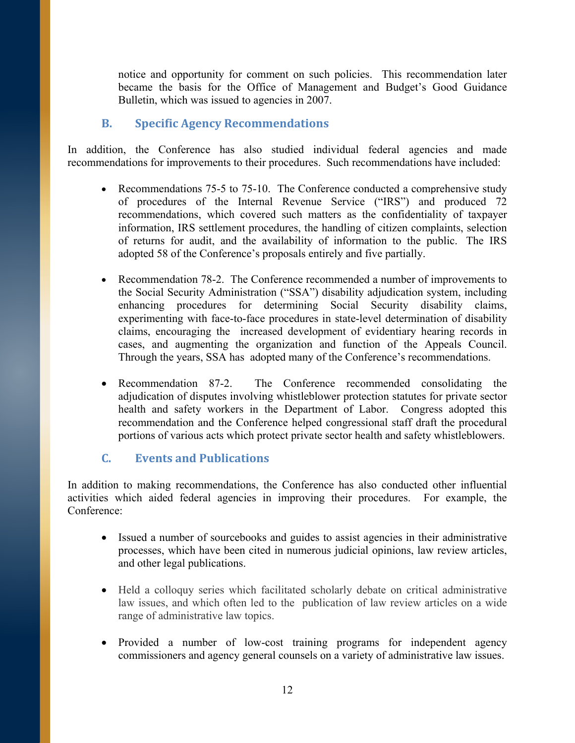notice and opportunity for comment on such policies. This recommendation later became the basis for the Office of Management and Budget's Good Guidance Bulletin, which was issued to agencies in 2007.

# **B. Specific Agency Recommendations**

In addition, the Conference has also studied individual federal agencies and made recommendations for improvements to their procedures. Such recommendations have included:

- Recommendations 75-5 to 75-10. The Conference conducted a comprehensive study of procedures of the Internal Revenue Service ("IRS") and produced 72 recommendations, which covered such matters as the confidentiality of taxpayer information, IRS settlement procedures, the handling of citizen complaints, selection of returns for audit, and the availability of information to the public. The IRS adopted 58 of the Conference's proposals entirely and five partially.
- Recommendation 78-2. The Conference recommended a number of improvements to the Social Security Administration ("SSA") disability adjudication system, including enhancing procedures for determining Social Security disability claims, experimenting with face-to-face procedures in state-level determination of disability claims, encouraging the increased development of evidentiary hearing records in cases, and augmenting the organization and function of the Appeals Council. Through the years, SSA has adopted many of the Conference's recommendations.
- Recommendation 87-2. The Conference recommended consolidating the adjudication of disputes involving whistleblower protection statutes for private sector health and safety workers in the Department of Labor. Congress adopted this recommendation and the Conference helped congressional staff draft the procedural portions of various acts which protect private sector health and safety whistleblowers.

# **C. Events and Publications**

In addition to making recommendations, the Conference has also conducted other influential activities which aided federal agencies in improving their procedures. For example, the Conference:

- Issued a number of sourcebooks and guides to assist agencies in their administrative processes, which have been cited in numerous judicial opinions, law review articles, and other legal publications.
- Held a colloquy series which facilitated scholarly debate on critical administrative law issues, and which often led to the publication of law review articles on a wide range of administrative law topics.
- Provided a number of low-cost training programs for independent agency commissioners and agency general counsels on a variety of administrative law issues.